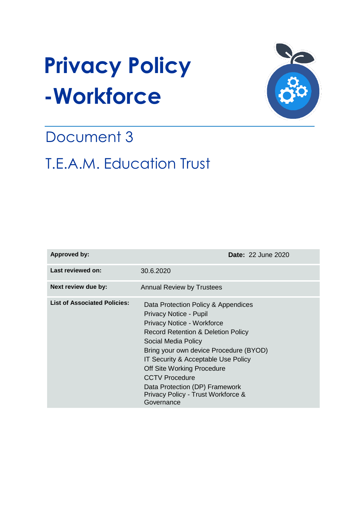# **Privacy Policy -Workforce**



# Document 3

# T.E.A.M. Education Trust

| <b>Approved by:</b>                 | <b>Date: 22 June 2020</b>                                                                                                                                                                                                                                                                                                                                                                                |
|-------------------------------------|----------------------------------------------------------------------------------------------------------------------------------------------------------------------------------------------------------------------------------------------------------------------------------------------------------------------------------------------------------------------------------------------------------|
| Last reviewed on:                   | 30.6.2020                                                                                                                                                                                                                                                                                                                                                                                                |
| Next review due by:                 | <b>Annual Review by Trustees</b>                                                                                                                                                                                                                                                                                                                                                                         |
| <b>List of Associated Policies:</b> | Data Protection Policy & Appendices<br>Privacy Notice - Pupil<br>Privacy Notice - Workforce<br><b>Record Retention &amp; Deletion Policy</b><br>Social Media Policy<br>Bring your own device Procedure (BYOD)<br>IT Security & Acceptable Use Policy<br><b>Off Site Working Procedure</b><br><b>CCTV Procedure</b><br>Data Protection (DP) Framework<br>Privacy Policy - Trust Workforce &<br>Governance |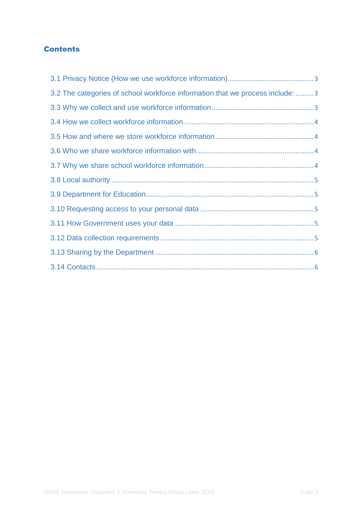## **Contents**

| 3.2 The categories of school workforce information that we process include: 3 |  |
|-------------------------------------------------------------------------------|--|
|                                                                               |  |
|                                                                               |  |
|                                                                               |  |
|                                                                               |  |
|                                                                               |  |
|                                                                               |  |
|                                                                               |  |
|                                                                               |  |
|                                                                               |  |
|                                                                               |  |
|                                                                               |  |
|                                                                               |  |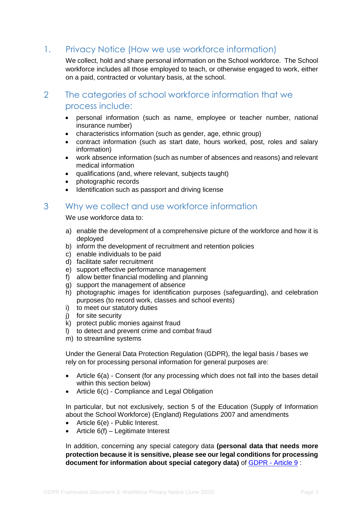# <span id="page-2-0"></span>1. Privacy Notice (How we use workforce information)

We collect, hold and share personal information on the School workforce. The School workforce includes all those employed to teach, or otherwise engaged to work, either on a paid, contracted or voluntary basis, at the school.

# <span id="page-2-1"></span>2 The categories of school workforce information that we process include:

- personal information (such as name, employee or teacher number, national insurance number)
- characteristics information (such as gender, age, ethnic group)
- contract information (such as start date, hours worked, post, roles and salary information)
- work absence information (such as number of absences and reasons) and relevant medical information
- qualifications (and, where relevant, subjects taught)
- photographic records
- Identification such as passport and driving license

# <span id="page-2-2"></span>3 Why we collect and use workforce information

We use workforce data to:

- a) enable the development of a comprehensive picture of the workforce and how it is deployed
- b) inform the development of recruitment and retention policies
- c) enable individuals to be paid
- d) facilitate safer recruitment
- e) support effective performance management
- f) allow better financial modelling and planning
- g) support the management of absence
- h) photographic images for identification purposes (safeguarding), and celebration purposes (to record work, classes and school events)
- i) to meet our statutory duties
- j) for site security
- k) protect public monies against fraud
- l) to detect and prevent crime and combat fraud
- m) to streamline systems

Under the General Data Protection Regulation (GDPR), the legal basis / bases we rely on for processing personal information for general purposes are:

- Article 6(a) Consent (for any processing which does not fall into the bases detail within this section below)
- Article 6(c) Compliance and Legal Obligation

In particular, but not exclusively, section 5 of the Education (Supply of Information about the School Workforce) (England) Regulations 2007 and amendments

- Article 6(e) Public Interest.
- Article 6(f) Legitimate Interest

In addition, concerning any special category data **(personal data that needs more protection because it is sensitive, please see our legal conditions for processing document for information about special category data)** of [GDPR -](https://gdpr-info.eu/art-9-gdpr/) Article 9 :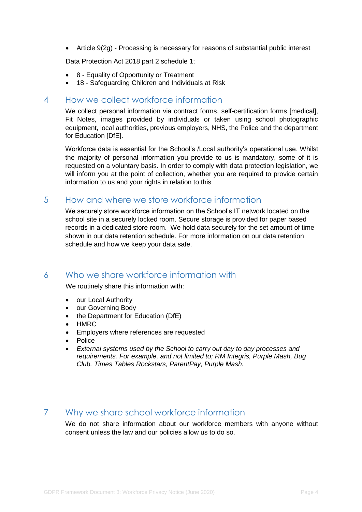Article 9(2g) - Processing is necessary for reasons of substantial public interest

Data Protection Act 2018 part 2 schedule 1;

- 8 Equality of Opportunity or Treatment
- 18 Safeguarding Children and Individuals at Risk

#### <span id="page-3-0"></span>4 How we collect workforce information

We collect personal information via contract forms, self-certification forms [medical], Fit Notes, images provided by individuals or taken using school photographic equipment, local authorities, previous employers, NHS, the Police and the department for Education [DfE].

Workforce data is essential for the School's /Local authority's operational use. Whilst the majority of personal information you provide to us is mandatory, some of it is requested on a voluntary basis. In order to comply with data protection legislation, we will inform you at the point of collection, whether you are required to provide certain information to us and your rights in relation to this

## <span id="page-3-1"></span>5 How and where we store workforce information

We securely store workforce information on the School's IT network located on the school site in a securely locked room. Secure storage is provided for paper based records in a dedicated store room. We hold data securely for the set amount of time shown in our data retention schedule. For more information on our data retention schedule and how we keep your data safe.

# <span id="page-3-2"></span>6 Who we share workforce information with

We routinely share this information with:

- our Local Authority
- our Governing Body
- the Department for Education (DfE)
- HMRC
- Employers where references are requested
- Police
- *External systems used by the School to carry out day to day processes and requirements. For example, and not limited to; RM Integris, Purple Mash, Bug Club, Times Tables Rockstars, ParentPay, Purple Mash.*

# <span id="page-3-3"></span>7 Why we share school workforce information

We do not share information about our workforce members with anyone without consent unless the law and our policies allow us to do so.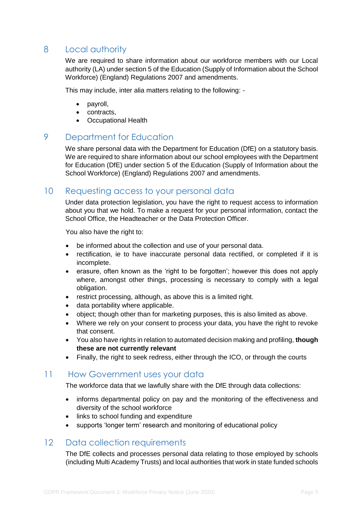# <span id="page-4-0"></span>8 Local authority

We are required to share information about our workforce members with our Local authority (LA) under section 5 of the Education (Supply of Information about the School Workforce) (England) Regulations 2007 and amendments.

This may include, inter alia matters relating to the following: -

- payroll,
- contracts,
- Occupational Health

# <span id="page-4-1"></span>9 Department for Education

We share personal data with the Department for Education (DfE) on a statutory basis. We are required to share information about our school employees with the Department for Education (DfE) under section 5 of the Education (Supply of Information about the School Workforce) (England) Regulations 2007 and amendments.

## <span id="page-4-2"></span>10 Requesting access to your personal data

Under data protection legislation, you have the right to request access to information about you that we hold. To make a request for your personal information, contact the School Office, the Headteacher or the Data Protection Officer.

You also have the right to:

- be informed about the collection and use of your personal data.
- rectification, ie to have inaccurate personal data rectified, or completed if it is incomplete.
- erasure, often known as the 'right to be forgotten'; however this does not apply where, amongst other things, processing is necessary to comply with a legal obligation.
- restrict processing, although, as above this is a limited right.
- data portability where applicable.
- object; though other than for marketing purposes, this is also limited as above.
- Where we rely on your consent to process your data, you have the right to revoke that consent.
- You also have rights in relation to automated decision making and profiling, **though these are not currently relevant**
- Finally, the right to seek redress, either through the ICO, or through the courts

#### <span id="page-4-3"></span>11 How Government uses your data

The workforce data that we lawfully share with the DfE through data collections:

- informs departmental policy on pay and the monitoring of the effectiveness and diversity of the school workforce
- links to school funding and expenditure
- supports 'longer term' research and monitoring of educational policy

#### <span id="page-4-4"></span>12 Data collection requirements

The DfE collects and processes personal data relating to those employed by schools (including Multi Academy Trusts) and local authorities that work in state funded schools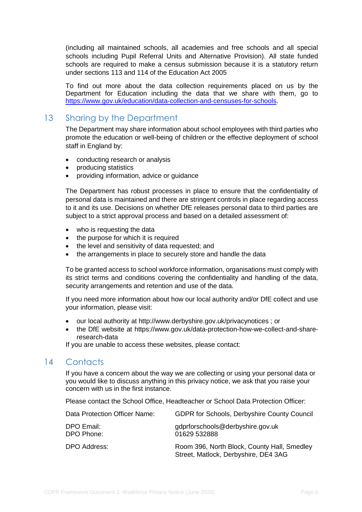(including all maintained schools, all academies and free schools and all special schools including Pupil Referral Units and Alternative Provision). All state funded schools are required to make a census submission because it is a statutory return under sections 113 and 114 of the Education Act 2005

To find out more about the data collection requirements placed on us by the Department for Education including the data that we share with them, go to [https://www.gov.uk/education/data-collection-and-censuses-for-schools.](https://www.gov.uk/education/data-collection-and-censuses-for-schools)

# <span id="page-5-0"></span>13 Sharing by the Department

The Department may share information about school employees with third parties who promote the education or well-being of children or the effective deployment of school staff in England by:

- conducting research or analysis
- producing statistics
- providing information, advice or guidance

The Department has robust processes in place to ensure that the confidentiality of personal data is maintained and there are stringent controls in place regarding access to it and its use. Decisions on whether DfE releases personal data to third parties are subject to a strict approval process and based on a detailed assessment of:

- who is requesting the data
- the purpose for which it is required
- the level and sensitivity of data requested; and
- the arrangements in place to securely store and handle the data

To be granted access to school workforce information, organisations must comply with its strict terms and conditions covering the confidentiality and handling of the data, security arrangements and retention and use of the data.

If you need more information about how our local authority and/or DfE collect and use your information, please visit:

- our local authority at http://www.derbyshire.gov.uk/privacynotices ; or
- the DfE website at https://www.gov.uk/data-protection-how-we-collect-and-shareresearch-data

If you are unable to access these websites, please contact:

# <span id="page-5-1"></span>14 Contacts

If you have a concern about the way we are collecting or using your personal data or you would like to discuss anything in this privacy notice, we ask that you raise your concern with us in the first instance.

Please contact the School Office, Headteacher or School Data Protection Officer:

| Data Protection Officer Name: | <b>GDPR for Schools, Derbyshire County Council</b>                                  |
|-------------------------------|-------------------------------------------------------------------------------------|
| DPO Email:<br>DPO Phone:      | gdprforschools@derbyshire.gov.uk<br>01629 532888                                    |
| DPO Address:                  | Room 396, North Block, County Hall, Smedley<br>Street, Matlock, Derbyshire, DE4 3AG |